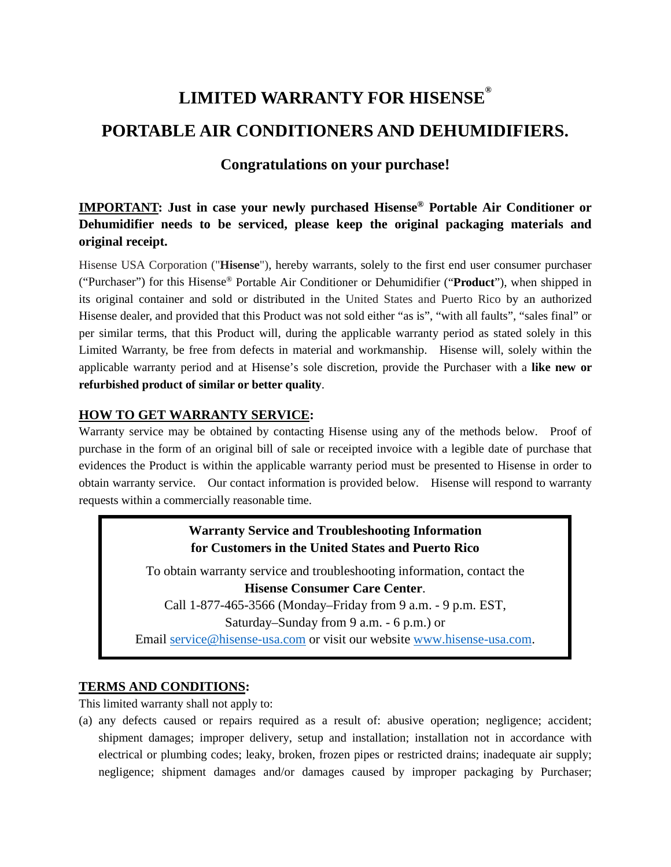# **LIMITED WARRANTY FOR HISENSE® PORTABLE AIR CONDITIONERS AND DEHUMIDIFIERS.**

## **Congratulations on your purchase!**

**IMPORTANT: Just in case your newly purchased Hisense® Portable Air Conditioner or Dehumidifier needs to be serviced, please keep the original packaging materials and original receipt.**

Hisense USA Corporation ("**Hisense**"), hereby warrants, solely to the first end user consumer purchaser ("Purchaser") for this Hisense® Portable Air Conditioner or Dehumidifier ("**Product**"), when shipped in its original container and sold or distributed in the United States and Puerto Rico by an authorized Hisense dealer, and provided that this Product was not sold either "as is", "with all faults", "sales final" or per similar terms, that this Product will, during the applicable warranty period as stated solely in this Limited Warranty, be free from defects in material and workmanship. Hisense will, solely within the applicable warranty period and at Hisense's sole discretion, provide the Purchaser with a **like new or refurbished product of similar or better quality**.

## **HOW TO GET WARRANTY SERVICE:**

Warranty service may be obtained by contacting Hisense using any of the methods below. Proof of purchase in the form of an original bill of sale or receipted invoice with a legible date of purchase that evidences the Product is within the applicable warranty period must be presented to Hisense in order to obtain warranty service. Our contact information is provided below. Hisense will respond to warranty requests within a commercially reasonable time.

## **Warranty Service and Troubleshooting Information for Customers in the United States and Puerto Rico**

To obtain warranty service and troubleshooting information, contact the **Hisense Consumer Care Center**. Call 1-877-465-3566 (Monday–Friday from 9 a.m. - 9 p.m. EST,

Saturday–Sunday from 9 a.m. - 6 p.m.) or

Email [service@hisense-usa.com](mailto:service@hisense-usa.com) or visit our website [www.hisense-usa.com.](http://www.hisense-usa.com/)

### **TERMS AND CONDITIONS:**

This limited warranty shall not apply to:

(a) any defects caused or repairs required as a result of: abusive operation; negligence; accident; shipment damages; improper delivery, setup and installation; installation not in accordance with electrical or plumbing codes; leaky, broken, frozen pipes or restricted drains; inadequate air supply; negligence; shipment damages and/or damages caused by improper packaging by Purchaser;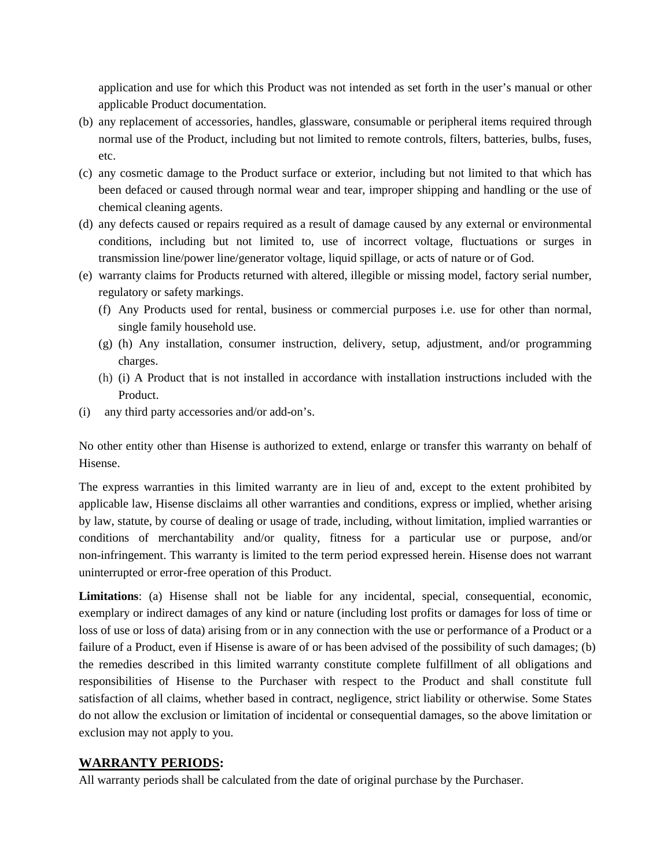application and use for which this Product was not intended as set forth in the user's manual or other applicable Product documentation.

- (b) any replacement of accessories, handles, glassware, consumable or peripheral items required through normal use of the Product, including but not limited to remote controls, filters, batteries, bulbs, fuses, etc.
- (c) any cosmetic damage to the Product surface or exterior, including but not limited to that which has been defaced or caused through normal wear and tear, improper shipping and handling or the use of chemical cleaning agents.
- (d) any defects caused or repairs required as a result of damage caused by any external or environmental conditions, including but not limited to, use of incorrect voltage, fluctuations or surges in transmission line/power line/generator voltage, liquid spillage, or acts of nature or of God.
- (e) warranty claims for Products returned with altered, illegible or missing model, factory serial number, regulatory or safety markings.
	- (f) Any Products used for rental, business or commercial purposes i.e. use for other than normal, single family household use.
	- (g) (h) Any installation, consumer instruction, delivery, setup, adjustment, and/or programming charges.
	- (h) (i) A Product that is not installed in accordance with installation instructions included with the Product.
- (i) any third party accessories and/or add-on's.

No other entity other than Hisense is authorized to extend, enlarge or transfer this warranty on behalf of Hisense.

The express warranties in this limited warranty are in lieu of and, except to the extent prohibited by applicable law, Hisense disclaims all other warranties and conditions, express or implied, whether arising by law, statute, by course of dealing or usage of trade, including, without limitation, implied warranties or conditions of merchantability and/or quality, fitness for a particular use or purpose, and/or non-infringement. This warranty is limited to the term period expressed herein. Hisense does not warrant uninterrupted or error-free operation of this Product.

**Limitations**: (a) Hisense shall not be liable for any incidental, special, consequential, economic, exemplary or indirect damages of any kind or nature (including lost profits or damages for loss of time or loss of use or loss of data) arising from or in any connection with the use or performance of a Product or a failure of a Product, even if Hisense is aware of or has been advised of the possibility of such damages; (b) the remedies described in this limited warranty constitute complete fulfillment of all obligations and responsibilities of Hisense to the Purchaser with respect to the Product and shall constitute full satisfaction of all claims, whether based in contract, negligence, strict liability or otherwise. Some States do not allow the exclusion or limitation of incidental or consequential damages, so the above limitation or exclusion may not apply to you.

### **WARRANTY PERIODS:**

All warranty periods shall be calculated from the date of original purchase by the Purchaser.